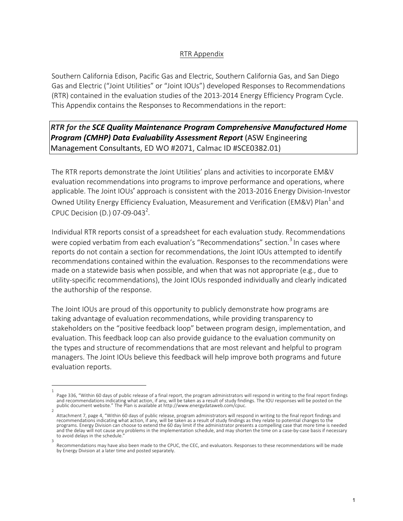## RTR Appendix

Southern California Edison, Pacific Gas and Electric, Southern California Gas, and San Diego Gas and Electric ("Joint Utilities" or "Joint IOUs") developed Responses to Recommendations (RTR) contained in the evaluation studies of the 2013-2014 Energy Efficiency Program Cycle. This Appendix contains the Responses to Recommendations in the report:

## *RTR for the SCE Quality Maintenance Program Comprehensive Manufactured Home* **Program (CMHP) Data Evaluability Assessment Report** (ASW Engineering Management Consultants, ED WO #2071, Calmac ID #SCE0382.01)

The RTR reports demonstrate the Joint Utilities' plans and activities to incorporate EM&V evaluation recommendations into programs to improve performance and operations, where applicable. The Joint IOUs' approach is consistent with the 2013-2016 Energy Division-Investor Owned Utility Energy Efficiency Evaluation, Measurement and Verification (EM&V) Plan<sup>1</sup> and CPUC Decision (D.) 07-09-043<sup>2</sup>.

Individual RTR reports consist of a spreadsheet for each evaluation study. Recommendations were copied verbatim from each evaluation's "Recommendations" section.<sup>3</sup> In cases where reports do not contain a section for recommendations, the Joint IOUs attempted to identify recommendations contained within the evaluation. Responses to the recommendations were made on a statewide basis when possible, and when that was not appropriate (e.g., due to utility-specific recommendations), the Joint IOUs responded individually and clearly indicated the authorship of the response.

The Joint IOUs are proud of this opportunity to publicly demonstrate how programs are taking advantage of evaluation recommendations, while providing transparency to stakeholders on the "positive feedback loop" between program design, implementation, and evaluation. This feedback loop can also provide guidance to the evaluation community on the types and structure of recommendations that are most relevant and helpful to program managers. The Joint IOUs believe this feedback will help improve both programs and future evaluation reports.

<sup>1</sup> Page 336, "Within 60 days of public release of a final report, the program administrators will respond in writing to the final report findings and recommendations indicating what action, if any, will be taken as a result of study findings. The IOU responses will be posted on the<br>public document website." The Plan is available at http://www.energydataweb.com/cpuc.  $\overline{2}$ 

Attachment 7, page 4, "Within 60 days of public release, program administrators will respond in writing to the final report findings and<br>recommendations indicating what action, if any, will be taken as a result of study fi and the delay will not cause any problems in the implementation schedule, and may shorten the time on a case-by-case basis if necessary to avoid delays in the schedule.

<sup>3</sup> Recommendations may have also been made to the CPUC, the CEC, and evaluators. Responses to these recommendations will be made by Energy Division at a later time and posted separately.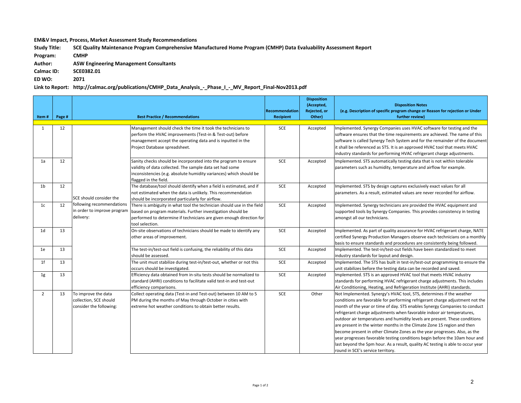**EM&V** Impact, Process, Market Assessment Study Recommendations

Study Title: SCE Quality Maintenance Program Comprehensive Manufactured Home Program (CMHP) Data Evaluability Assessment Report

**Program: CMHP**

**Author: ASW Engineering Management Consultants**

**Calmac ID: SCE0382.01**

**ED WO: 2071**

Link to Report: http://calmac.org/publications/CMHP\_Data\_Analysis\_-\_Phase\_I\_-\_MV\_Report\_Final-Nov2013.pdf

| Item#          | Page # |                                                                          | <b>Best Practice / Recommendations</b>                                                                                                                                                                                           | <b>Recommendation</b><br><b>Recipient</b> | <b>Disposition</b><br>(Accepted,<br>Rejected, or<br>Other) | <b>Disposition Notes</b><br>(e.g. Description of specific program change or Reason for rejection or Under<br>further review)                                                                                                                                                                                                                                                                                                                                                                                                                                                                                                                                                                                                                                |
|----------------|--------|--------------------------------------------------------------------------|----------------------------------------------------------------------------------------------------------------------------------------------------------------------------------------------------------------------------------|-------------------------------------------|------------------------------------------------------------|-------------------------------------------------------------------------------------------------------------------------------------------------------------------------------------------------------------------------------------------------------------------------------------------------------------------------------------------------------------------------------------------------------------------------------------------------------------------------------------------------------------------------------------------------------------------------------------------------------------------------------------------------------------------------------------------------------------------------------------------------------------|
| $\mathbf{1}$   | 12     |                                                                          | Management should check the time it took the technicians to<br>perform the HVAC improvements (Test-in & Test-out) before<br>management accept the operating data and is inputted in the<br>Project Database spreadsheet.         | SCE                                       | Accepted                                                   | Implemented. Synergy Companies uses HVAC software for testing and the<br>software ensures that the time requirements are achieved. The name of this<br>software is called Synergy Tech System and for the remainder of the document<br>it shall be referenced as STS. It is an approved HVAC tool that meets HVAC<br>industry standards for performing HVAC refrigerant charge adjustments.                                                                                                                                                                                                                                                                                                                                                                 |
| 1a             | 12     |                                                                          | Sanity checks should be incorporated into the program to ensure<br>validity of data collected. The sample data set had some<br>inconsistencies (e.g. absolute humidity variances) which should be<br>flagged in the field.       | SCE                                       | Accepted                                                   | Implemented. STS automatically testing data that is not within tolerable<br>parameters such as humidity, temperature and airflow for example.                                                                                                                                                                                                                                                                                                                                                                                                                                                                                                                                                                                                               |
| 1 <sub>b</sub> | 12     | SCE should consider the                                                  | The database/tool should identify when a field is estimated, and if<br>not estimated when the data is unlikely. This recommendation<br>should be incorporated particularly for airflow.                                          | SCE                                       | Accepted                                                   | Implemented. STS by design captures exclusively exact values for all<br>parameters. As a result, estimated values are never recorded for airflow.                                                                                                                                                                                                                                                                                                                                                                                                                                                                                                                                                                                                           |
| 1c             | 12     | following recommendations<br>in order to improve program<br>delivery:    | There is ambiguity in what tool the technician should use in the field<br>based on program materials. Further investigation should be<br>performed to determine if technicians are given enough direction for<br>tool selection. | <b>SCE</b>                                | Accepted                                                   | Implemented. Synergy technicians are provided the HVAC equipment and<br>supported tools by Synergy Companies. This provides consistency in testing<br>amongst all our technicians.                                                                                                                                                                                                                                                                                                                                                                                                                                                                                                                                                                          |
| 1d             | 13     |                                                                          | On-site observations of technicians should be made to identify any<br>other areas of improvement.                                                                                                                                | SCE                                       | Accepted                                                   | Implemented. As part of quality assurance for HVAC refrigerant charge, NATE<br>certified Synergy Production Managers observe each technicians on a monthly<br>basis to ensure standards and procedures are consistently being followed.                                                                                                                                                                                                                                                                                                                                                                                                                                                                                                                     |
| 1e             | 13     |                                                                          | The test-in/test-out field is confusing, the reliability of this data<br>should be assessed.                                                                                                                                     | <b>SCE</b>                                | Accepted                                                   | Implemented. The test-in/test-out fields have been standardized to meet<br>industry standards for layout and design.                                                                                                                                                                                                                                                                                                                                                                                                                                                                                                                                                                                                                                        |
| 1 <sup>f</sup> | 13     |                                                                          | The unit must stabilize during test-in/test-out, whether or not this<br>occurs should be investigated.                                                                                                                           | SCE                                       | Accepted                                                   | Implemented. The STS has built in test-in/test-out programming to ensure the<br>unit stabilizes before the testing data can be recorded and saved.                                                                                                                                                                                                                                                                                                                                                                                                                                                                                                                                                                                                          |
| 1 <sub>g</sub> | 13     |                                                                          | Efficiency data obtained from in-situ tests should be normalized to<br>standard (AHRI) conditions to facilitate valid test-in and test-out<br>efficiency comparisons.                                                            | SCE                                       | Accepted                                                   | Implemented. STS is an approved HVAC tool that meets HVAC industry<br>standards for performing HVAC refrigerant charge adjustments. This includes<br>Air Conditioning, Heating, and Refrigeration Institute (AHRI) standards.                                                                                                                                                                                                                                                                                                                                                                                                                                                                                                                               |
| $\overline{2}$ | 13     | To improve the data<br>collection, SCE should<br>consider the following: | Collect operating data (Test-in and Test-out) between 10 AM to 5<br>PM during the months of May through October in cities with<br>extreme hot weather conditions to obtain better results.                                       | <b>SCE</b>                                | Other                                                      | Not Implemented. Synergy's HVAC tool, STS, determines if the weather<br>conditions are favorable for performing refrigerant charge adjustment not the<br>month of the year or time of day. STS enables Synergy Companies to conduct<br>refrigerant charge adjustments when favorable indoor air temperatures,<br>outdoor air temperatures and humidity levels are present. These conditions<br>are present in the winter months in the Climate Zone 15 region and then<br>become present in other Climate Zones as the year progresses. Also, as the<br>year progresses favorable testing conditions begin before the 10am hour and<br>last beyond the 5pm hour. As a result, quality AC testing is able to occur year<br>round in SCE's service territory. |